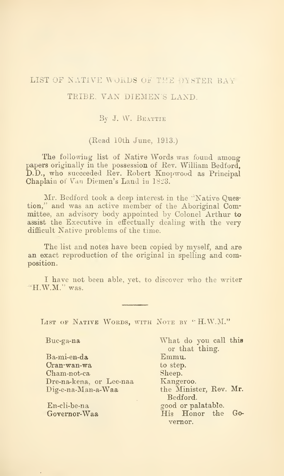## LIST OF NATIVE WORDS OF THE OYSTER BAY

## TRIBE, VAN DIEMEN'S LAND.

## By J. W. BEATTIE

## (Read 10th June, 1913.)

The following list of Native Words was found among papers originally in the possession of Rev. William Bedford, D.D., who succeeded Rev. Robert Knopwood as Principal Chaplain of Van Diemen's Land in 1823.

Mr. Bedford took a deep interest in the ''Native Question," and was an active member of the Aboriginal Committee, an advisory body appointed by Colonel Arthur to assist the Executive in effectually dealing with the very difficult Native problems of the time.

The list and notes have been copied by myself, and are an exact reproduction of the original in spelling and composition.

I have not been able, vet, to discover who the writer "H.W.M." was.

LIST OF NATIVE WORDS, WITH NOTE BY "H.W.M."

| Buc-ga-na               | What do you call this  |
|-------------------------|------------------------|
|                         | or that thing.         |
| Ba-mi-en-da             | Emmu.                  |
| Cran-wan-wa             | to step.               |
| Cham-not-ca             | Sheep.                 |
| Dre-na-kena, or Lee-naa | Kangeroo.              |
| Dig-e-na-Man-a-Waa      | the Minister, Rev. Mr. |
|                         | Bedford.               |
| En-cli-be-na            | good or palatable.     |
| Governor-Waa            | His Honor the Go-      |
|                         | vernor.                |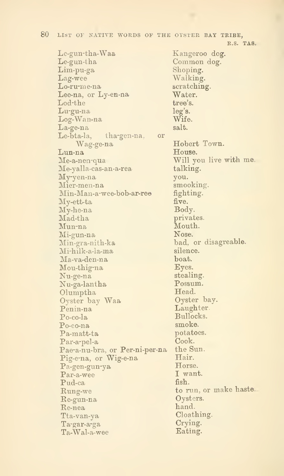Le-gun-tha^Waa Le-gun-tha Lim-pu-ga Lag-wee Lo-ru-me-na Lee-na, or Ly-en-na Lod-the Lu-gu-na Log-Wan-na La-ge-na Le-bta-la, tha-gen-na, or Wag-ge-na Lun-na Me-a-nen-qua Me-yalla-cas-an-a-rea My-yen-na Mier-men-na Min-Man-a-we&-bob-ax-re©  $My$ -ett-ta My-he-na Mad-tha Mun-na Mi-gun-na Min-gra-nith-ka Mi-hilk-a-la^ma Ma-varden-na Mou-tbig-na Nu-ge-na Nu-ga-lantha Olumptha Oyster bay Waa Penin-na Po-co-la Po-eo-na Pa-matt-ta Par-a-pel-a Pae-a-nu-bra, or Per-ni-per-na Pig-e-na, or Wig-e-na Pa-gen-gun-ya Par-a-wee Pud-ca Rung-we Re-gun-na Re-nea Tta-van-ya Ta-gar-a-ga Ta-Wal-a-wee

Kangeroo dog. Common dog. Shoping. Walking. scratching. Water. tree's. leg's. Wife. salt. Hobert Town. House. Will you live with me. talking. you. smooking. fighting. five. Body. privates. Mouth. Nose. bad, or disagreable. silence. boat. Eyes. stealing. Possum. Head. Oyster bay. **Laughter** Bullocks. smoke. potatoes. Cook. the Sun. Hair. Horse. I want. fish. to run, or make haste. Oysters. hand. Cloathing. Crying. Eating.